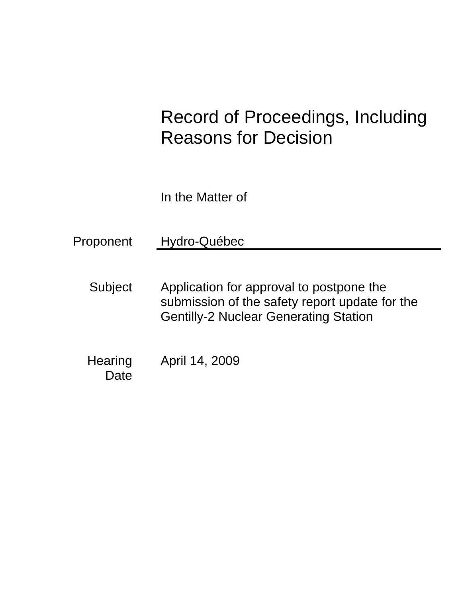# Record of Proceedings, Including Reasons for Decision

In the Matter of

Proponent Hydro-Québec

Subject Application for approval to postpone the submission of the safety report update for the Gentilly-2 Nuclear Generating Station

**Hearing Date** April 14, 2009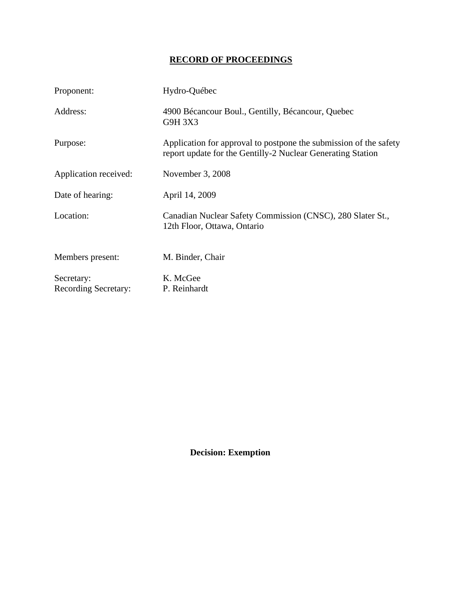# **RECORD OF PROCEEDINGS**

| Proponent:                  | Hydro-Québec                                                                                                                     |
|-----------------------------|----------------------------------------------------------------------------------------------------------------------------------|
| Address:                    | 4900 Bécancour Boul., Gentilly, Bécancour, Quebec<br>G9H 3X3                                                                     |
| Purpose:                    | Application for approval to postpone the submission of the safety<br>report update for the Gentilly-2 Nuclear Generating Station |
| Application received:       | November 3, 2008                                                                                                                 |
| Date of hearing:            | April 14, 2009                                                                                                                   |
| Location:                   | Canadian Nuclear Safety Commission (CNSC), 280 Slater St.,<br>12th Floor, Ottawa, Ontario                                        |
| Members present:            | M. Binder, Chair                                                                                                                 |
| Secretary:                  | K. McGee                                                                                                                         |
| <b>Recording Secretary:</b> | P. Reinhardt                                                                                                                     |

 **Decision: Exemption**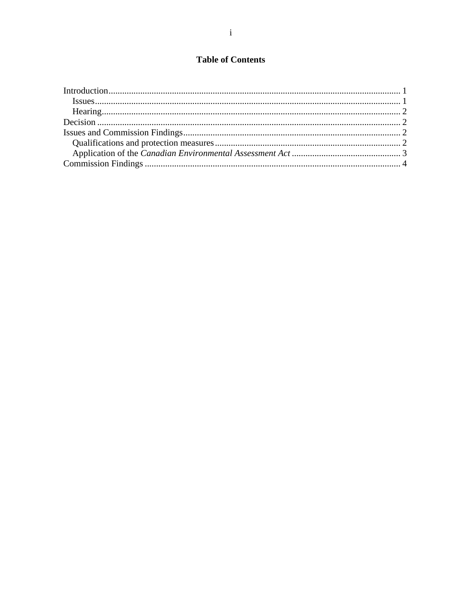## **Table of Contents**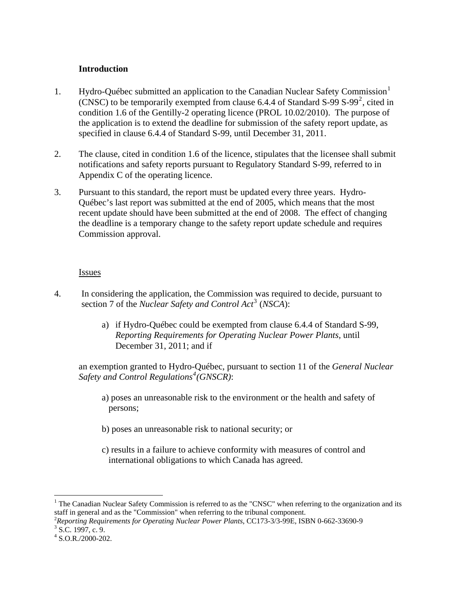#### <span id="page-3-0"></span>**Introduction**

- [1](#page-3-1). Hydro-Québec submitted an application to the Canadian Nuclear Safety Commission<sup>1</sup>  $(CNSC)$  to be temporarily exempted from clause 6.4.4 of Standard S-99 S-99<sup>[2](#page-3-2)</sup>, cited in condition 1.6 of the Gentilly-2 operating licence (PROL 10.02/2010). The purpose of the application is to extend the deadline for submission of the safety report update, as specified in clause 6.4.4 of Standard S-99, until December 31, 2011.
- 2. The clause, cited in condition 1.6 of the licence, stipulates that the licensee shall submit notifications and safety reports pursuant to Regulatory Standard S-99, referred to in Appendix C of the operating licence.
- 3. Pursuant to this standard, the report must be updated every three years. Hydro-Québec's last report was submitted at the end of 2005, which means that the most recent update should have been submitted at the end of 2008. The effect of changing the deadline is a temporary change to the safety report update schedule and requires Commission approval.

#### Issues

- 4. In considering the application, the Commission was required to decide, pursuant to section 7 of the *Nuclear Safety and Control Act*[3](#page-3-3) (*NSCA*):
	- a) if Hydro-Québec could be exempted from clause 6.4.4 of Standard S-99, *Reporting Requirements for Operating Nuclear Power Plants,* until December 31, 2011; and if

an exemption granted to Hydro-Québec, pursuant to section 11 of the *General Nuclear Safety and Control Regulations[4](#page-3-4) (GNSCR)*:

- a) poses an unreasonable risk to the environment or the health and safety of persons;
- b) poses an unreasonable risk to national security; or
- c) results in a failure to achieve conformity with measures of control and international obligations to which Canada has agreed.

 $\overline{a}$ 

<span id="page-3-1"></span><sup>&</sup>lt;sup>1</sup> The Canadian Nuclear Safety Commission is referred to as the "CNSC" when referring to the organization and its staff in general and as the "Commission" when referring to the tribunal component.

<span id="page-3-3"></span><span id="page-3-2"></span><sup>&</sup>lt;sup>2</sup> Reporting Requirements for Operating Nuclear Power Plants, CC173-3/3-99E, ISBN 0-662-33690-9<br><sup>3</sup> S C 1997 - 2 9  $3$  S.C. 1997, c. 9.

<span id="page-3-4"></span><sup>4</sup> S.O.R./2000-202.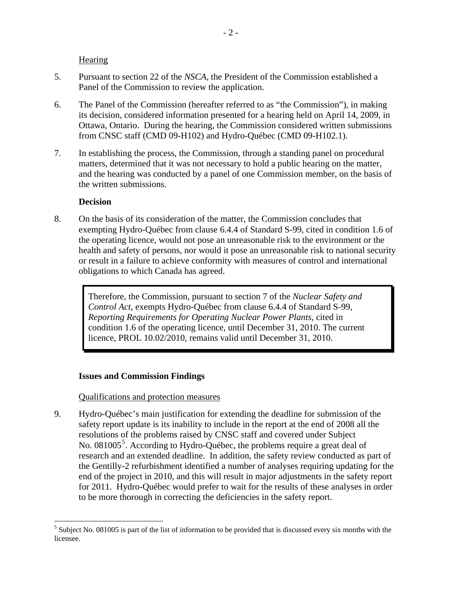**Hearing** 

- <span id="page-4-0"></span>5. Pursuant to section 22 of the *NSCA*, the President of the Commission established a Panel of the Commission to review the application.
- 6. The Panel of the Commission (hereafter referred to as "the Commission"), in making its decision, considered information presented for a hearing held on April 14, 2009, in Ottawa, Ontario. During the hearing, the Commission considered written submissions from CNSC staff (CMD 09-H102) and Hydro-Québec (CMD 09-H102.1).
- 7. In establishing the process, the Commission, through a standing panel on procedural matters, determined that it was not necessary to hold a public hearing on the matter, and the hearing was conducted by a panel of one Commission member, on the basis of the written submissions.

#### **Decision**

 $\overline{a}$ 

8. On the basis of its consideration of the matter, the Commission concludes that exempting Hydro-Québec from clause 6.4.4 of Standard S-99, cited in condition 1.6 of the operating licence, would not pose an unreasonable risk to the environment or the health and safety of persons, nor would it pose an unreasonable risk to national security or result in a failure to achieve conformity with measures of control and international obligations to which Canada has agreed.

Therefore, the Commission, pursuant to section 7 of the *Nuclear Safety and Control Act*, exempts Hydro-Québec from clause 6.4.4 of Standard S-99, *Reporting Requirements for Operating Nuclear Power Plants*, cited in condition 1.6 of the operating licence, until December 31, 2010. The current licence, PROL 10.02/2010, remains valid until December 31, 2010.

## **Issues and Commission Findings**

## Qualifications and protection measures

9. Hydro-Québec's main justification for extending the deadline for submission of the safety report update is its inability to include in the report at the end of 2008 all the resolutions of the problems raised by CNSC staff and covered under Subject No. 08100[5](#page-4-1)<sup>5</sup>. According to Hydro-Québec, the problems require a great deal of research and an extended deadline. In addition, the safety review conducted as part of the Gentilly-2 refurbishment identified a number of analyses requiring updating for the end of the project in 2010, and this will result in major adjustments in the safety report for 2011. Hydro-Québec would prefer to wait for the results of these analyses in order to be more thorough in correcting the deficiencies in the safety report.

<span id="page-4-1"></span> $<sup>5</sup>$  Subject No. 081005 is part of the list of information to be provided that is discussed every six months with the</sup> licensee.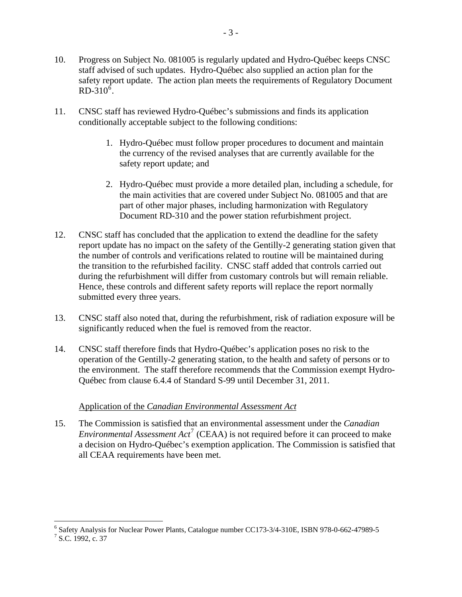- <span id="page-5-0"></span>11. CNSC staff has reviewed Hydro-Québec's submissions and finds its application conditionally acceptable subject to the following conditions:
	- 1. Hydro-Québec must follow proper procedures to document and maintain the currency of the revised analyses that are currently available for the safety report update; and
	- 2. Hydro-Québec must provide a more detailed plan, including a schedule, for the main activities that are covered under Subject No. 081005 and that are part of other major phases, including harmonization with Regulatory Document RD-310 and the power station refurbishment project.
- 12. CNSC staff has concluded that the application to extend the deadline for the safety report update has no impact on the safety of the Gentilly-2 generating station given that the number of controls and verifications related to routine will be maintained during the transition to the refurbished facility. CNSC staff added that controls carried out during the refurbishment will differ from customary controls but will remain reliable. Hence, these controls and different safety reports will replace the report normally submitted every three years.
- 13. CNSC staff also noted that, during the refurbishment, risk of radiation exposure will be significantly reduced when the fuel is removed from the reactor.
- 14. CNSC staff therefore finds that Hydro-Québec's application poses no risk to the operation of the Gentilly-2 generating station, to the health and safety of persons or to the environment. The staff therefore recommends that the Commission exempt Hydro-Québec from clause 6.4.4 of Standard S-99 until December 31, 2011.

## Application of the *Canadian Environmental Assessment Act*

15. The Commission is satisfied that an environmental assessment under the *Canadian Environmental Assessment*  $Act^7$  $Act^7$  *(CEAA)* is not required before it can proceed to make a decision on Hydro-Québec's exemption application. The Commission is satisfied that all CEAA requirements have been met.

1

<span id="page-5-1"></span><sup>6</sup> Safety Analysis for Nuclear Power Plants, Catalogue number CC173-3/4-310E, ISBN 978-0-662-47989-5

<span id="page-5-2"></span> $^7$  S.C. 1992, c. 37